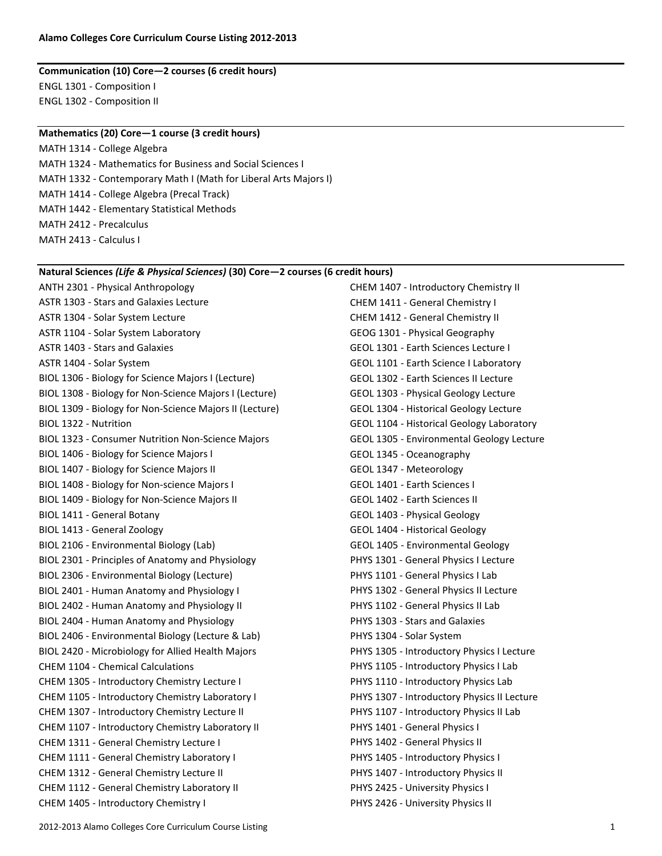#### **Communication (10) Core—2 courses (6 credit hours)** ENGL 1301 - Composition I ENGL 1302 - Composition II

#### **Mathematics (20) Core—1 course (3 credit hours)**

MATH 1314 - College Algebra MATH 1324 - Mathematics for Business and Social Sciences I MATH 1332 - Contemporary Math I (Math for Liberal Arts Majors I) MATH 1414 - College Algebra (Precal Track) MATH 1442 - Elementary Statistical Methods MATH 2412 - Precalculus MATH 2413 - Calculus I

#### **Natural Sciences** *(Life & Physical Sciences)* **(30) Core—2 courses (6 credit hours)**

ANTH 2301 - Physical Anthropology ASTR 1303 - Stars and Galaxies Lecture ASTR 1304 - Solar System Lecture ASTR 1104 - Solar System Laboratory ASTR 1403 - Stars and Galaxies ASTR 1404 - Solar System BIOL 1306 - Biology for Science Majors I (Lecture) BIOL 1308 - Biology for Non-Science Majors I (Lecture) BIOL 1309 - Biology for Non-Science Majors II (Lecture) BIOL 1322 - Nutrition BIOL 1323 - Consumer Nutrition Non-Science Majors BIOL 1406 - Biology for Science Majors I BIOL 1407 - Biology for Science Majors II BIOL 1408 - Biology for Non-science Majors I BIOL 1409 - Biology for Non-Science Majors II BIOL 1411 - General Botany BIOL 1413 - General Zoology BIOL 2106 - Environmental Biology (Lab) BIOL 2301 - Principles of Anatomy and Physiology BIOL 2306 - Environmental Biology (Lecture) BIOL 2401 - Human Anatomy and Physiology I BIOL 2402 - Human Anatomy and Physiology II BIOL 2404 - Human Anatomy and Physiology BIOL 2406 - Environmental Biology (Lecture & Lab) BIOL 2420 - Microbiology for Allied Health Majors CHEM 1104 - Chemical Calculations CHEM 1305 - Introductory Chemistry Lecture I CHEM 1105 - Introductory Chemistry Laboratory I CHEM 1307 - Introductory Chemistry Lecture II CHEM 1107 - Introductory Chemistry Laboratory II CHEM 1311 - General Chemistry Lecture I CHEM 1111 - General Chemistry Laboratory I CHEM 1312 - General Chemistry Lecture II CHEM 1112 - General Chemistry Laboratory II CHEM 1405 - Introductory Chemistry I

CHEM 1407 - Introductory Chemistry II CHEM 1411 - General Chemistry I CHEM 1412 - General Chemistry II GEOG 1301 - Physical Geography GEOL 1301 - Earth Sciences Lecture I GEOL 1101 - Earth Science I Laboratory GEOL 1302 - Earth Sciences II Lecture GEOL 1303 - Physical Geology Lecture GEOL 1304 - Historical Geology Lecture GEOL 1104 - Historical Geology Laboratory GEOL 1305 - Environmental Geology Lecture GEOL 1345 - Oceanography GEOL 1347 - Meteorology GEOL 1401 - Earth Sciences I GEOL 1402 - Earth Sciences II GEOL 1403 - Physical Geology GEOL 1404 - Historical Geology GEOL 1405 - Environmental Geology PHYS 1301 - General Physics I Lecture PHYS 1101 - General Physics I Lab PHYS 1302 - General Physics II Lecture PHYS 1102 - General Physics II Lab PHYS 1303 - Stars and Galaxies PHYS 1304 - Solar System PHYS 1305 - Introductory Physics I Lecture PHYS 1105 - Introductory Physics I Lab PHYS 1110 - Introductory Physics Lab PHYS 1307 - Introductory Physics II Lecture PHYS 1107 - Introductory Physics II Lab PHYS 1401 - General Physics I PHYS 1402 - General Physics II PHYS 1405 - Introductory Physics I PHYS 1407 - Introductory Physics II PHYS 2425 - University Physics I

PHYS 2426 - University Physics II

2012-2013 Alamo Colleges Core Curriculum Course Listing 1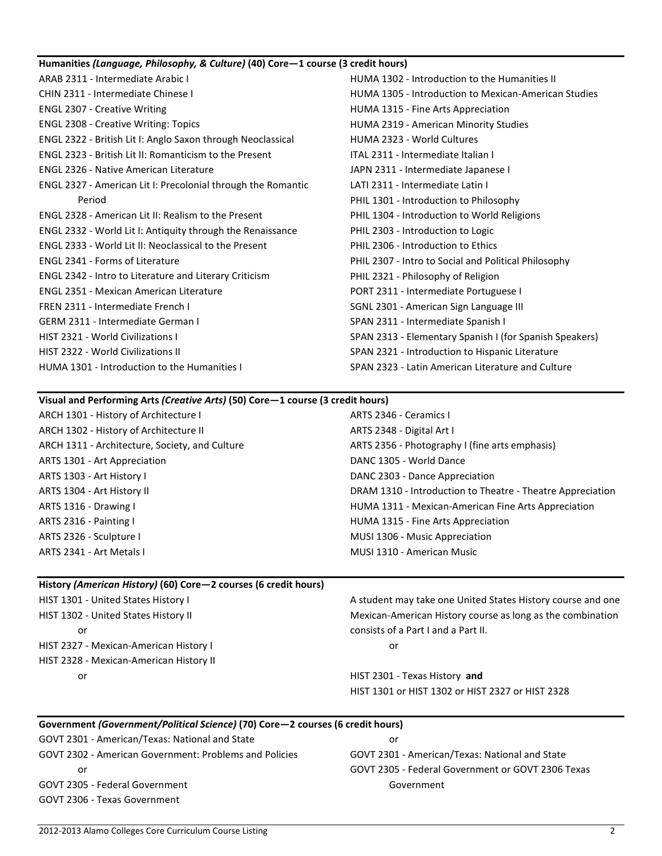| Humanities (Language, Philosophy, & Culture) (40) Core-1 course (3 credit hours) |                                                             |  |
|----------------------------------------------------------------------------------|-------------------------------------------------------------|--|
| ARAB 2311 - Intermediate Arabic I                                                | HUMA 1302 - Introduction to the Humanities II               |  |
| CHIN 2311 - Intermediate Chinese I                                               | <b>HUMA 1305 - Introduction to Mexican-American Studies</b> |  |
| <b>ENGL 2307 - Creative Writing</b>                                              | HUMA 1315 - Fine Arts Appreciation                          |  |
| <b>ENGL 2308 - Creative Writing: Topics</b>                                      | HUMA 2319 - American Minority Studies                       |  |
| ENGL 2322 - British Lit I: Anglo Saxon through Neoclassical                      | HUMA 2323 - World Cultures                                  |  |
| <b>ENGL 2323 - British Lit II: Romanticism to the Present</b>                    | ITAL 2311 - Intermediate Italian I                          |  |
| <b>ENGL 2326 - Native American Literature</b>                                    | JAPN 2311 - Intermediate Japanese I                         |  |
| ENGL 2327 - American Lit I: Precolonial through the Romantic                     | LATI 2311 - Intermediate Latin I                            |  |
| Period                                                                           | PHIL 1301 - Introduction to Philosophy                      |  |
| <b>ENGL 2328 - American Lit II: Realism to the Present</b>                       | PHIL 1304 - Introduction to World Religions                 |  |
| ENGL 2332 - World Lit I: Antiquity through the Renaissance                       | PHIL 2303 - Introduction to Logic                           |  |
| ENGL 2333 - World Lit II: Neoclassical to the Present                            | PHIL 2306 - Introduction to Ethics                          |  |
| <b>ENGL 2341 - Forms of Literature</b>                                           | PHIL 2307 - Intro to Social and Political Philosophy        |  |
| ENGL 2342 - Intro to Literature and Literary Criticism                           | PHIL 2321 - Philosophy of Religion                          |  |
| <b>ENGL 2351 - Mexican American Literature</b>                                   | PORT 2311 - Intermediate Portuguese I                       |  |
| FREN 2311 - Intermediate French I                                                | SGNL 2301 - American Sign Language III                      |  |
| <b>GERM 2311 - Intermediate German I</b>                                         | SPAN 2311 - Intermediate Spanish I                          |  |
| <b>HIST 2321 - World Civilizations I</b>                                         | SPAN 2313 - Elementary Spanish I (for Spanish Speakers)     |  |
| HIST 2322 - World Civilizations II                                               | SPAN 2321 - Introduction to Hispanic Literature             |  |
| HUMA 1301 - Introduction to the Humanities I                                     | SPAN 2323 - Latin American Literature and Culture           |  |
|                                                                                  |                                                             |  |

## **Visual and Performing Arts** *(Creative Arts)* **(50) Core—1 course (3 credit hours)**

| ARCH 1301 - History of Architecture I          | ARTS 2346 - Ceramics I                                     |
|------------------------------------------------|------------------------------------------------------------|
| ARCH 1302 - History of Architecture II         | ARTS 2348 - Digital Art I                                  |
| ARCH 1311 - Architecture, Society, and Culture | ARTS 2356 - Photography I (fine arts emphasis)             |
| ARTS 1301 - Art Appreciation                   | DANC 1305 - World Dance                                    |
| ARTS 1303 - Art History I                      | DANC 2303 - Dance Appreciation                             |
| ARTS 1304 - Art History II                     | DRAM 1310 - Introduction to Theatre - Theatre Appreciation |
| ARTS 1316 - Drawing I                          | HUMA 1311 - Mexican-American Fine Arts Appreciation        |
| ARTS 2316 - Painting I                         | HUMA 1315 - Fine Arts Appreciation                         |
| ARTS 2326 - Sculpture I                        | MUSI 1306 - Music Appreciation                             |
| ARTS 2341 - Art Metals I                       | MUSI 1310 - American Music                                 |

# **History** *(American History)* **(60) Core—2 courses (6 credit hours)**

| HIST 1301 - United States History I     | A student may take one United States History course and one |
|-----------------------------------------|-------------------------------------------------------------|
| HIST 1302 - United States History II    | Mexican-American History course as long as the combination  |
| or                                      | consists of a Part I and a Part II.                         |
| HIST 2327 - Mexican-American History I  | or                                                          |
| HIST 2328 - Mexican-American History II |                                                             |
| or                                      | HIST 2301 - Texas History and                               |
|                                         | HIST 1301 or HIST 1302 or HIST 2327 or HIST 2328            |

| Government (Government/Political Science) (70) Core-2 courses (6 credit hours) |                                                   |  |
|--------------------------------------------------------------------------------|---------------------------------------------------|--|
| GOVT 2301 - American/Texas: National and State                                 | or                                                |  |
| <b>GOVT 2302 - American Government: Problems and Policies</b>                  | GOVT 2301 - American/Texas: National and State    |  |
| or                                                                             | GOVT 2305 - Federal Government or GOVT 2306 Texas |  |
| GOVT 2305 - Federal Government                                                 | Government                                        |  |
| GOVT 2306 - Texas Government                                                   |                                                   |  |